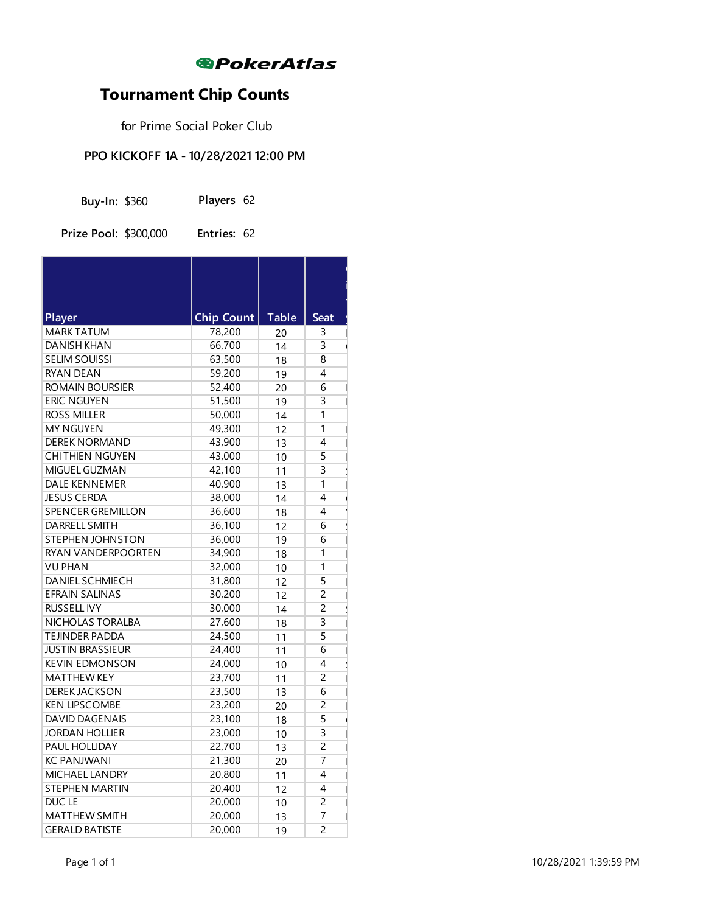

 $\sim$ 

m.

# **Tournament Chip Counts**

for Prime Social Poker Club

#### **PPO KICKOFF 1A - 10/28/2021 12:00 PM**

| <b>Buy-In: \$360</b> |  | Players 62 |  |
|----------------------|--|------------|--|
|----------------------|--|------------|--|

**Prize Pool:** \$300,000 **Entries:** 62

| Player                   | <b>Chip Count</b> | <b>Table</b> | <b>Seat</b>    |  |
|--------------------------|-------------------|--------------|----------------|--|
| <b>MARK TATUM</b>        | 78,200            | 20           | 3              |  |
| <b>DANISH KHAN</b>       | 66,700            | 14           | 3              |  |
| <b>SELIM SOUISSI</b>     | 63,500            | 18           | 8              |  |
| <b>RYAN DEAN</b>         | 59,200            | 19           | 4              |  |
| ROMAIN BOURSIER          | 52,400            | 20           | 6              |  |
| <b>ERIC NGUYEN</b>       | 51,500            | 19           | 3              |  |
| <b>ROSS MILLER</b>       | 50,000            | 14           | 1              |  |
| <b>MY NGUYEN</b>         | 49,300            | 12           | 1              |  |
| <b>DEREK NORMAND</b>     | 43,900            | 13           | 4              |  |
| CHITHIEN NGUYEN          | 43,000            | 10           | 5              |  |
| MIGUEL GUZMAN            | 42,100            | 11           | $\overline{3}$ |  |
| <b>DALE KENNEMER</b>     | 40,900            | 13           | $\overline{1}$ |  |
| <b>JESUS CERDA</b>       | 38,000            | 14           | $\overline{4}$ |  |
| <b>SPENCER GREMILLON</b> | 36,600            | 18           | 4              |  |
| <b>DARRELL SMITH</b>     | 36,100            | 12           | 6              |  |
| <b>STEPHEN JOHNSTON</b>  | 36,000            | 19           | 6              |  |
| RYAN VANDERPOORTEN       | 34,900            | 18           | 1              |  |
| VU PHAN                  | 32,000            | 10           | 1              |  |
| <b>DANIEL SCHMIECH</b>   | 31,800            | 12           | 5              |  |
| <b>EFRAIN SALINAS</b>    | 30,200            | 12           | $\overline{c}$ |  |
| <b>RUSSELL IVY</b>       | 30,000            | 14           | $\overline{2}$ |  |
| NICHOLAS TORALBA         | 27,600            | 18           | $\overline{3}$ |  |
| <b>TEJINDER PADDA</b>    | 24,500            | 11           | 5              |  |
| <b>JUSTIN BRASSIEUR</b>  | 24,400            | 11           | 6              |  |
| <b>KEVIN EDMONSON</b>    | 24,000            | 10           | 4              |  |
| <b>MATTHEW KEY</b>       | 23,700            | 11           | 2              |  |
| <b>DEREK JACKSON</b>     | 23,500            | 13           | 6              |  |
| <b>KEN LIPSCOMBE</b>     | 23,200            | 20           | $\overline{2}$ |  |
| <b>DAVID DAGENAIS</b>    | 23,100            | 18           | 5              |  |
| <b>JORDAN HOLLIER</b>    | 23,000            | 10           | 3              |  |
| PAUL HOLLIDAY            | 22,700            | 13           | $\overline{2}$ |  |
| <b>KC PANJWANI</b>       | 21,300            | 20           | 7              |  |
| <b>MICHAEL LANDRY</b>    | 20,800            | 11           | 4              |  |
| <b>STEPHEN MARTIN</b>    | 20,400            | 12           | 4              |  |
| DUC LE                   | 20,000            | 10           | $\overline{c}$ |  |
| <b>MATTHEW SMITH</b>     | 20,000            | 13           | 7              |  |
| <b>GERALD BATISTE</b>    | 20,000            | 19           | $\overline{2}$ |  |